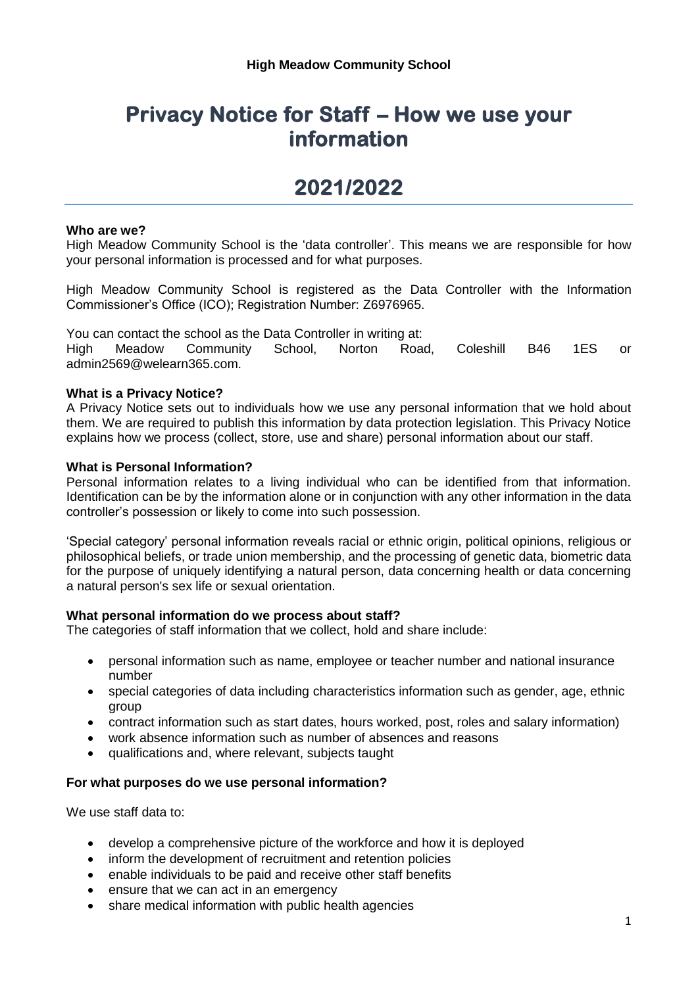# **Privacy Notice for Staff – How we use your information**

# **2021/2022**

## **Who are we?**

High Meadow Community School is the 'data controller'. This means we are responsible for how your personal information is processed and for what purposes.

High Meadow Community School is registered as the Data Controller with the Information Commissioner's Office (ICO); Registration Number: Z6976965.

You can contact the school as the Data Controller in writing at: High Meadow Community School, Norton Road, Coleshill B46 1ES or admin2569@welearn365.com.

### **What is a Privacy Notice?**

A Privacy Notice sets out to individuals how we use any personal information that we hold about them. We are required to publish this information by data protection legislation. This Privacy Notice explains how we process (collect, store, use and share) personal information about our staff.

### **What is Personal Information?**

Personal information relates to a living individual who can be identified from that information. Identification can be by the information alone or in conjunction with any other information in the data controller's possession or likely to come into such possession.

'Special category' personal information reveals racial or ethnic origin, political opinions, religious or philosophical beliefs, or trade union membership, and the processing of genetic data, biometric data for the purpose of uniquely identifying a natural person, data concerning health or data concerning a natural person's sex life or sexual orientation.

#### **What personal information do we process about staff?**

The categories of staff information that we collect, hold and share include:

- personal information such as name, employee or teacher number and national insurance number
- special categories of data including characteristics information such as gender, age, ethnic group
- contract information such as start dates, hours worked, post, roles and salary information)
- work absence information such as number of absences and reasons
- qualifications and, where relevant, subjects taught

#### **For what purposes do we use personal information?**

We use staff data to:

- develop a comprehensive picture of the workforce and how it is deployed
- inform the development of recruitment and retention policies
- enable individuals to be paid and receive other staff benefits
- ensure that we can act in an emergency
- share medical information with public health agencies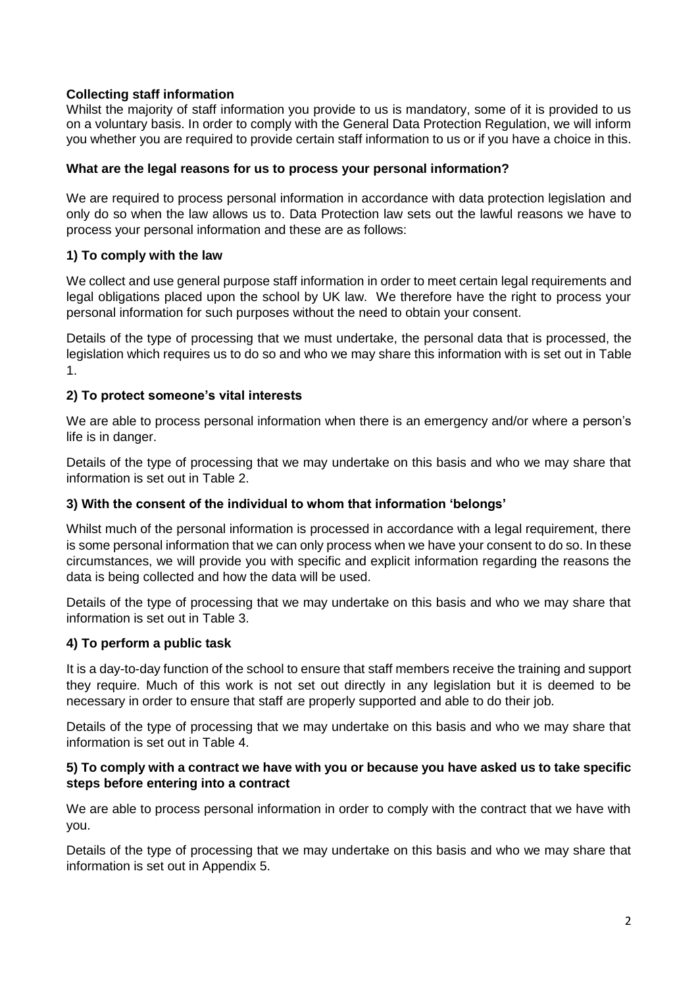# **Collecting staff information**

Whilst the majority of staff information you provide to us is mandatory, some of it is provided to us on a voluntary basis. In order to comply with the General Data Protection Regulation, we will inform you whether you are required to provide certain staff information to us or if you have a choice in this.

## **What are the legal reasons for us to process your personal information?**

We are required to process personal information in accordance with data protection legislation and only do so when the law allows us to. Data Protection law sets out the lawful reasons we have to process your personal information and these are as follows:

# **1) To comply with the law**

We collect and use general purpose staff information in order to meet certain legal requirements and legal obligations placed upon the school by UK law. We therefore have the right to process your personal information for such purposes without the need to obtain your consent.

Details of the type of processing that we must undertake, the personal data that is processed, the legislation which requires us to do so and who we may share this information with is set out in Table 1.

# **2) To protect someone's vital interests**

We are able to process personal information when there is an emergency and/or where a person's life is in danger.

Details of the type of processing that we may undertake on this basis and who we may share that information is set out in Table 2.

## **3) With the consent of the individual to whom that information 'belongs'**

Whilst much of the personal information is processed in accordance with a legal requirement, there is some personal information that we can only process when we have your consent to do so. In these circumstances, we will provide you with specific and explicit information regarding the reasons the data is being collected and how the data will be used.

Details of the type of processing that we may undertake on this basis and who we may share that information is set out in Table 3.

# **4) To perform a public task**

It is a day-to-day function of the school to ensure that staff members receive the training and support they require. Much of this work is not set out directly in any legislation but it is deemed to be necessary in order to ensure that staff are properly supported and able to do their job.

Details of the type of processing that we may undertake on this basis and who we may share that information is set out in Table 4.

## **5) To comply with a contract we have with you or because you have asked us to take specific steps before entering into a contract**

We are able to process personal information in order to comply with the contract that we have with you.

Details of the type of processing that we may undertake on this basis and who we may share that information is set out in Appendix 5.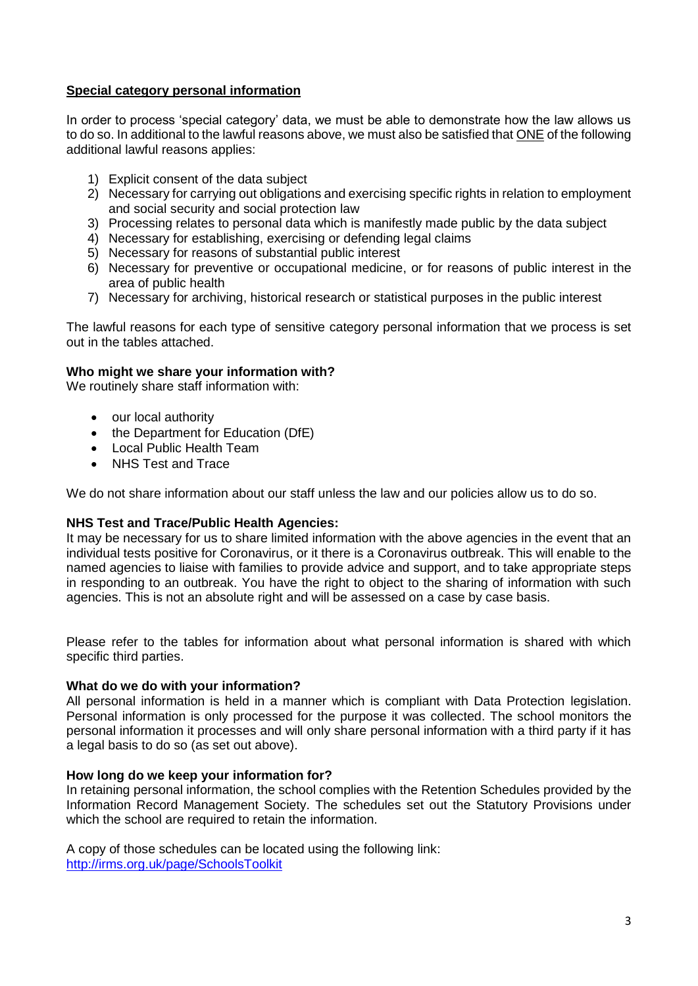# **Special category personal information**

In order to process 'special category' data, we must be able to demonstrate how the law allows us to do so. In additional to the lawful reasons above, we must also be satisfied that ONE of the following additional lawful reasons applies:

- 1) Explicit consent of the data subject
- 2) Necessary for carrying out obligations and exercising specific rights in relation to employment and social security and social protection law
- 3) Processing relates to personal data which is manifestly made public by the data subject
- 4) Necessary for establishing, exercising or defending legal claims
- 5) Necessary for reasons of substantial public interest
- 6) Necessary for preventive or occupational medicine, or for reasons of public interest in the area of public health
- 7) Necessary for archiving, historical research or statistical purposes in the public interest

The lawful reasons for each type of sensitive category personal information that we process is set out in the tables attached.

## **Who might we share your information with?**

We routinely share staff information with:

- our local authority
- the Department for Education (DfE)
- Local Public Health Team
- NHS Test and Trace

We do not share information about our staff unless the law and our policies allow us to do so.

## **NHS Test and Trace/Public Health Agencies:**

It may be necessary for us to share limited information with the above agencies in the event that an individual tests positive for Coronavirus, or it there is a Coronavirus outbreak. This will enable to the named agencies to liaise with families to provide advice and support, and to take appropriate steps in responding to an outbreak. You have the right to object to the sharing of information with such agencies. This is not an absolute right and will be assessed on a case by case basis.

Please refer to the tables for information about what personal information is shared with which specific third parties.

#### **What do we do with your information?**

All personal information is held in a manner which is compliant with Data Protection legislation. Personal information is only processed for the purpose it was collected. The school monitors the personal information it processes and will only share personal information with a third party if it has a legal basis to do so (as set out above).

#### **How long do we keep your information for?**

In retaining personal information, the school complies with the Retention Schedules provided by the Information Record Management Society. The schedules set out the Statutory Provisions under which the school are required to retain the information.

A copy of those schedules can be located using the following link: <http://irms.org.uk/page/SchoolsToolkit>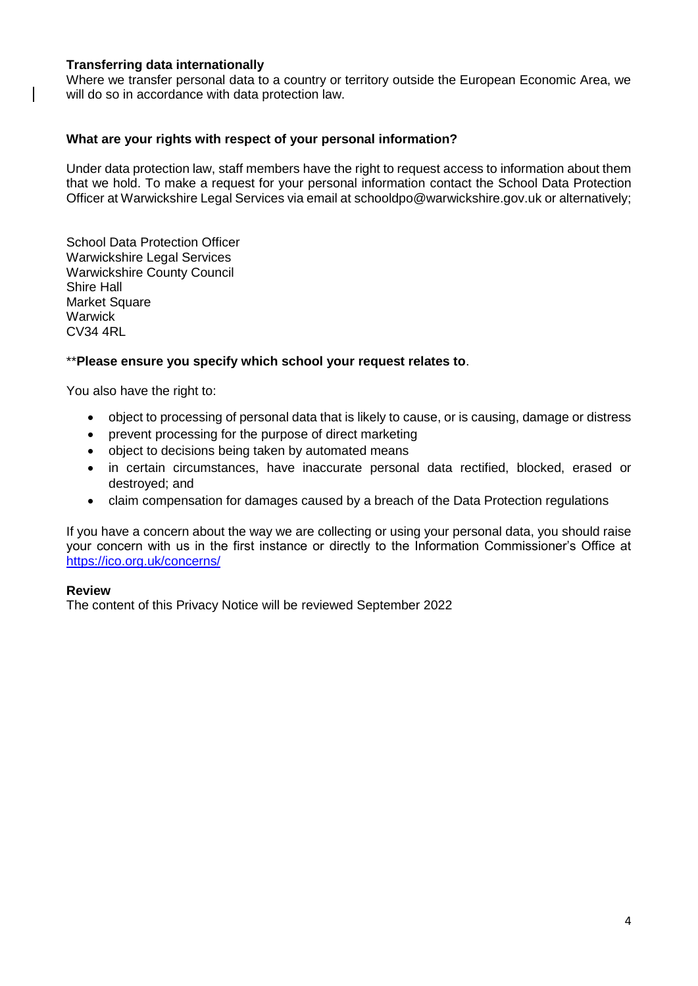## **Transferring data internationally**

 $\mathsf{l}$ 

Where we transfer personal data to a country or territory outside the European Economic Area, we will do so in accordance with data protection law.

## **What are your rights with respect of your personal information?**

Under data protection law, staff members have the right to request access to information about them that we hold. To make a request for your personal information contact the School Data Protection Officer at Warwickshire Legal Services via email at [schooldpo@warwickshire.gov.uk](mailto:schooldpo@warwickshire.gov.uk) or alternatively;

School Data Protection Officer Warwickshire Legal Services Warwickshire County Council Shire Hall Market Square **Warwick** CV34 4RL

## \*\***Please ensure you specify which school your request relates to**.

You also have the right to:

- object to processing of personal data that is likely to cause, or is causing, damage or distress
- prevent processing for the purpose of direct marketing
- object to decisions being taken by automated means
- in certain circumstances, have inaccurate personal data rectified, blocked, erased or destroyed; and
- claim compensation for damages caused by a breach of the Data Protection regulations

If you have a concern about the way we are collecting or using your personal data, you should raise your concern with us in the first instance or directly to the Information Commissioner's Office at <https://ico.org.uk/concerns/>

## **Review**

The content of this Privacy Notice will be reviewed September 2022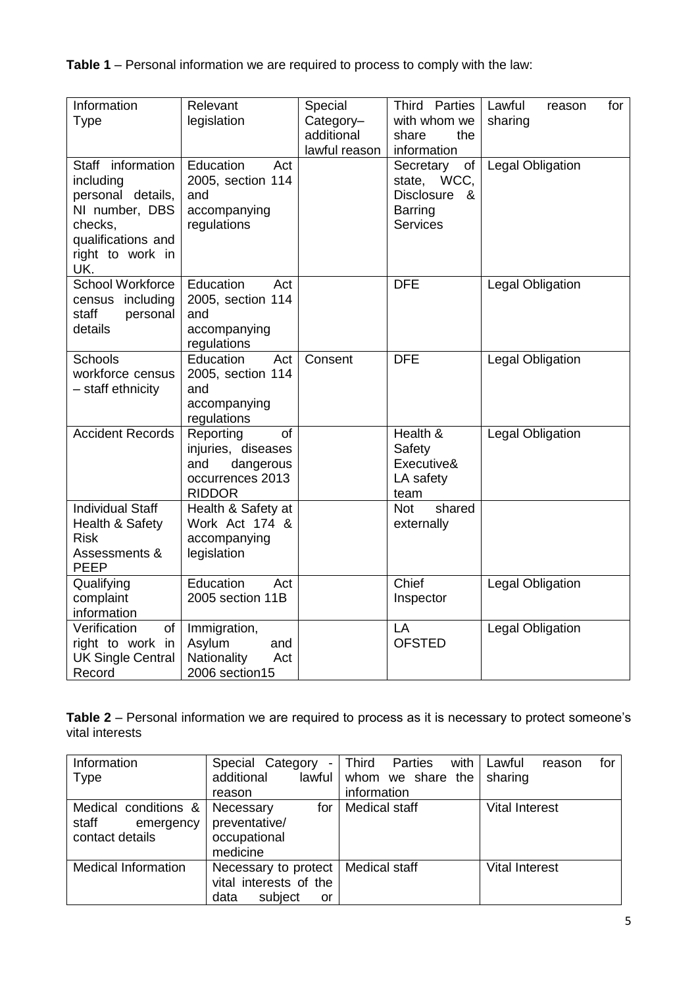**Table 1** – Personal information we are required to process to comply with the law:

| Information               | Relevant                             | Special       | Third Parties        | Lawful<br>for<br>reason |
|---------------------------|--------------------------------------|---------------|----------------------|-------------------------|
| <b>Type</b>               | legislation                          | Category-     | with whom we         | sharing                 |
|                           |                                      | additional    | share<br>the         |                         |
|                           |                                      | lawful reason | information          |                         |
| Staff information         | Education<br>Act                     |               | Secretary<br>of      | <b>Legal Obligation</b> |
| including                 | 2005, section 114                    |               | state, WCC,          |                         |
| personal details,         | and                                  |               | Disclosure<br>-&     |                         |
| NI number, DBS            | accompanying                         |               | <b>Barring</b>       |                         |
| checks,                   | regulations                          |               | <b>Services</b>      |                         |
| qualifications and        |                                      |               |                      |                         |
| right to work in<br>UK.   |                                      |               |                      |                         |
| <b>School Workforce</b>   | Education<br>Act                     |               | <b>DFE</b>           | Legal Obligation        |
| census including          | 2005, section 114                    |               |                      |                         |
| staff<br>personal         | and                                  |               |                      |                         |
| details                   | accompanying                         |               |                      |                         |
|                           | regulations                          |               |                      |                         |
| <b>Schools</b>            | Education<br>Act                     | Consent       | <b>DFE</b>           | Legal Obligation        |
| workforce census          | 2005, section 114                    |               |                      |                         |
| - staff ethnicity         | and                                  |               |                      |                         |
|                           | accompanying                         |               |                      |                         |
|                           | regulations                          |               |                      |                         |
| <b>Accident Records</b>   | Reporting<br>of                      |               | Health &             | <b>Legal Obligation</b> |
|                           | injuries, diseases                   |               | Safety<br>Executive& |                         |
|                           | dangerous<br>and<br>occurrences 2013 |               | LA safety            |                         |
|                           | <b>RIDDOR</b>                        |               | team                 |                         |
| <b>Individual Staff</b>   | Health & Safety at                   |               | <b>Not</b><br>shared |                         |
| Health & Safety           | Work Act 174 &                       |               | externally           |                         |
| <b>Risk</b>               | accompanying                         |               |                      |                         |
| Assessments &             | legislation                          |               |                      |                         |
| <b>PEEP</b>               |                                      |               |                      |                         |
| Qualifying                | Education<br>Act                     |               | Chief                | Legal Obligation        |
| complaint                 | 2005 section 11B                     |               | Inspector            |                         |
| information               |                                      |               |                      |                         |
| Verification<br><b>of</b> | Immigration,                         |               | LA                   | Legal Obligation        |
| right to work in          | Asylum<br>and                        |               | <b>OFSTED</b>        |                         |
| <b>UK Single Central</b>  | Nationality<br>Act                   |               |                      |                         |
| Record                    | 2006 section15                       |               |                      |                         |

**Table 2** – Personal information we are required to process as it is necessary to protect someone's vital interests

| Information<br><b>Type</b>                                    | Special Category<br>$\blacksquare$<br>additional<br>reason              | Third Parties<br>lawful whom we share the<br>information | with   Lawful<br>for<br>reason<br>sharing |
|---------------------------------------------------------------|-------------------------------------------------------------------------|----------------------------------------------------------|-------------------------------------------|
| Medical conditions &<br>staff<br>emergency<br>contact details | for<br>Necessary<br>preventative/<br>occupational<br>medicine           | Medical staff                                            | <b>Vital Interest</b>                     |
| <b>Medical Information</b>                                    | Necessary to protect<br>vital interests of the<br>subject<br>data<br>or | Medical staff                                            | Vital Interest                            |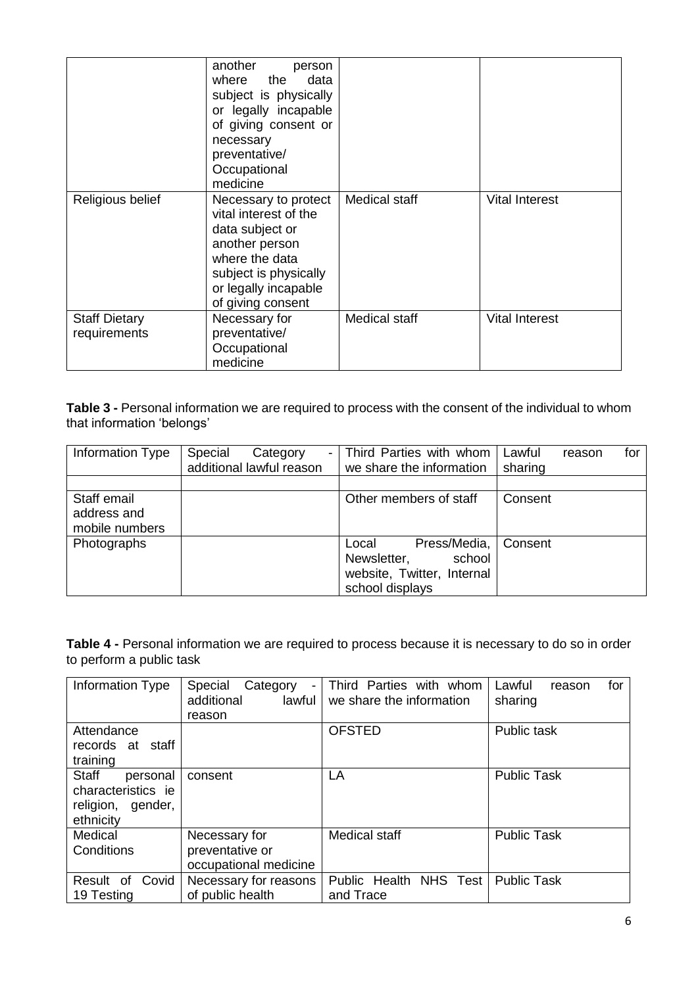|                                      | another<br>person<br>where the<br>data<br>subject is physically<br>or legally incapable<br>of giving consent or<br>necessary<br>preventative/<br>Occupational<br>medicine  |                      |                       |
|--------------------------------------|----------------------------------------------------------------------------------------------------------------------------------------------------------------------------|----------------------|-----------------------|
| Religious belief                     | Necessary to protect<br>vital interest of the<br>data subject or<br>another person<br>where the data<br>subject is physically<br>or legally incapable<br>of giving consent | Medical staff        | <b>Vital Interest</b> |
| <b>Staff Dietary</b><br>requirements | Necessary for<br>preventative/<br>Occupational<br>medicine                                                                                                                 | <b>Medical staff</b> | <b>Vital Interest</b> |

**Table 3 -** Personal information we are required to process with the consent of the individual to whom that information 'belongs'

| Information Type                             | Special<br>Category<br>$\overline{\phantom{0}}$<br>additional lawful reason | Third Parties with whom<br>we share the information                                             | Lawful<br>sharing | reason | for |
|----------------------------------------------|-----------------------------------------------------------------------------|-------------------------------------------------------------------------------------------------|-------------------|--------|-----|
|                                              |                                                                             |                                                                                                 |                   |        |     |
| Staff email<br>address and<br>mobile numbers |                                                                             | Other members of staff                                                                          | Consent           |        |     |
| Photographs                                  |                                                                             | Press/Media,<br>Local<br>school<br>Newsletter,<br>website, Twitter, Internal<br>school displays | Consent           |        |     |

**Table 4 -** Personal information we are required to process because it is necessary to do so in order to perform a public task

| Information Type                                                          | Special<br>Category<br>additional<br>lawful<br>reason     | Third Parties with whom<br>we share the information | for<br>Lawful<br>reason<br>sharing |
|---------------------------------------------------------------------------|-----------------------------------------------------------|-----------------------------------------------------|------------------------------------|
| Attendance<br>staff<br>records at<br>training                             |                                                           | <b>OFSTED</b>                                       | Public task                        |
| Staff<br>personal<br>characteristics ie<br>religion, gender,<br>ethnicity | consent                                                   | LA                                                  | <b>Public Task</b>                 |
| Medical<br>Conditions                                                     | Necessary for<br>preventative or<br>occupational medicine | Medical staff                                       | <b>Public Task</b>                 |
| Covid<br>Result<br>0f<br>19 Testing                                       | Necessary for reasons<br>of public health                 | Public Health NHS Test<br>and Trace                 | <b>Public Task</b>                 |